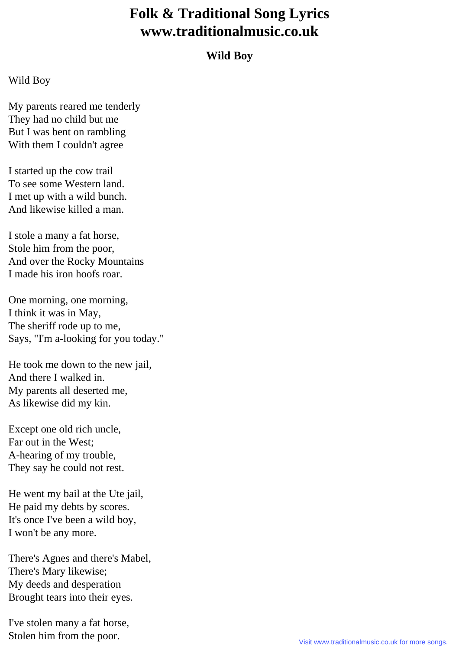## **Folk & Traditional Song Lyrics www.traditionalmusic.co.uk**

## **Wild Boy**

## Wild Boy

My parents reared me tenderly They had no child but me But I was bent on rambling With them I couldn't agree

I started up the cow trail To see some Western land. I met up with a wild bunch. And likewise killed a man.

I stole a many a fat horse, Stole him from the poor, And over the Rocky Mountains I made his iron hoofs roar.

One morning, one morning, I think it was in May, The sheriff rode up to me, Says, "I'm a-looking for you today."

He took me down to the new jail, And there I walked in. My parents all deserted me, As likewise did my kin.

Except one old rich uncle, Far out in the West; A-hearing of my trouble, They say he could not rest.

He went my bail at the Ute jail, He paid my debts by scores. It's once I've been a wild boy, I won't be any more.

There's Agnes and there's Mabel, There's Mary likewise; My deeds and desperation Brought tears into their eyes.

I've stolen many a fat horse, Stolen him from the poor.